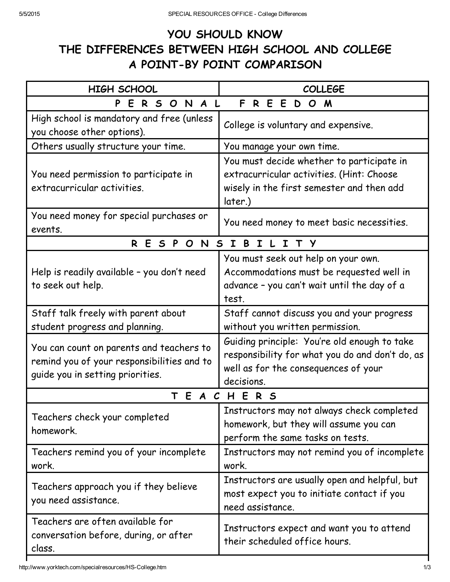## YOU SHOULD KNOW THE DIFFERENCES BETWEEN HIGH SCHOOL AND COLLEGE A POINT-BY POINT COMPARISON

| <b>HIGH SCHOOL</b>                                                                                                         | <b>COLLEGE</b>                                                                                                                                        |  |  |  |  |  |
|----------------------------------------------------------------------------------------------------------------------------|-------------------------------------------------------------------------------------------------------------------------------------------------------|--|--|--|--|--|
| $\overline{N}$<br>O<br>P.<br>ERS                                                                                           | F.<br>R.<br>E.<br>E<br>D<br>O<br>- M                                                                                                                  |  |  |  |  |  |
| High school is mandatory and free (unless<br>you choose other options).                                                    | College is voluntary and expensive.                                                                                                                   |  |  |  |  |  |
| Others usually structure your time.                                                                                        | You manage your own time.                                                                                                                             |  |  |  |  |  |
| You need permission to participate in<br>extracurricular activities.                                                       | You must decide whether to participate in<br>extracurricular activities. (Hint: Choose<br>wisely in the first semester and then add<br>later.)        |  |  |  |  |  |
| You need money for special purchases or<br>events.                                                                         | You need money to meet basic necessities.                                                                                                             |  |  |  |  |  |
| <b>RESPON</b><br>SIBIL<br>I T Y                                                                                            |                                                                                                                                                       |  |  |  |  |  |
| Help is readily available - you don't need<br>to seek out help.                                                            | You must seek out help on your own.<br>Accommodations must be requested well in<br>advance - you can't wait until the day of a<br>test.               |  |  |  |  |  |
| Staff talk freely with parent about<br>student progress and planning.                                                      | Staff cannot discuss you and your progress<br>without you written permission.                                                                         |  |  |  |  |  |
| You can count on parents and teachers to<br>remind you of your responsibilities and to<br>guide you in setting priorities. | Guiding principle: You're old enough to take<br>responsibility for what you do and don't do, as<br>well as for the consequences of your<br>decisions. |  |  |  |  |  |
| EACHERS<br>Τ                                                                                                               |                                                                                                                                                       |  |  |  |  |  |
| Teachers check your completed<br>homework.                                                                                 | Instructors may not always check completed<br>homework, but they will assume you can<br>perform the same tasks on tests.                              |  |  |  |  |  |
| Teachers remind you of your incomplete<br>work.                                                                            | Instructors may not remind you of incomplete<br>work.                                                                                                 |  |  |  |  |  |
| Teachers approach you if they believe<br>you need assistance.                                                              | Instructors are usually open and helpful, but<br>most expect you to initiate contact if you<br>need assistance.                                       |  |  |  |  |  |
| Teachers are often available for<br>conversation before, during, or after<br>class.                                        | Instructors expect and want you to attend<br>their scheduled office hours.                                                                            |  |  |  |  |  |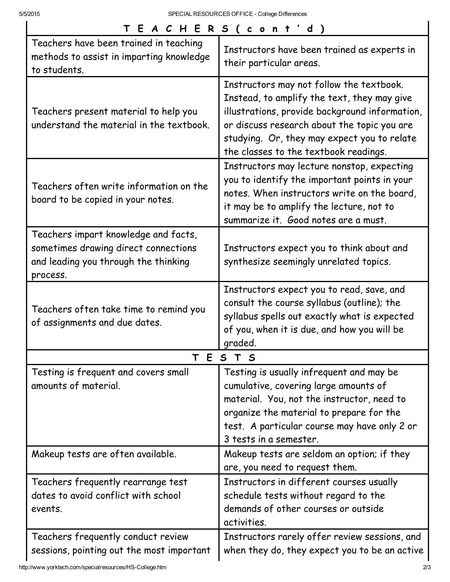I

|  |  |  |  |  |  |  |  |  |  |  |  |  | T E A C H E R S ( c o n t ' d ) |  |  |
|--|--|--|--|--|--|--|--|--|--|--|--|--|---------------------------------|--|--|
|--|--|--|--|--|--|--|--|--|--|--|--|--|---------------------------------|--|--|

| Teachers have been trained in teaching<br>methods to assist in imparting knowledge<br>to students.                               | Instructors have been trained as experts in<br>their particular areas.                                                                                                                                                                                                           |
|----------------------------------------------------------------------------------------------------------------------------------|----------------------------------------------------------------------------------------------------------------------------------------------------------------------------------------------------------------------------------------------------------------------------------|
| Teachers present material to help you<br>understand the material in the textbook.                                                | Instructors may not follow the textbook.<br>Instead, to amplify the text, they may give<br>illustrations, provide background information,<br>or discuss research about the topic you are<br>studying. Or, they may expect you to relate<br>the classes to the textbook readings. |
| Teachers often write information on the<br>board to be copied in your notes.                                                     | Instructors may lecture nonstop, expecting<br>you to identify the important points in your<br>notes. When instructors write on the board,<br>it may be to amplify the lecture, not to<br>summarize it. Good notes are a must.                                                    |
| Teachers impart knowledge and facts,<br>sometimes drawing direct connections<br>and leading you through the thinking<br>process. | Instructors expect you to think about and<br>synthesize seemingly unrelated topics.                                                                                                                                                                                              |
| Teachers often take time to remind you<br>of assignments and due dates.                                                          | Instructors expect you to read, save, and<br>consult the course syllabus (outline); the<br>syllabus spells out exactly what is expected<br>of you, when it is due, and how you will be<br>graded.                                                                                |
| E.<br>Τ                                                                                                                          | S T<br>$\mathsf{s}$                                                                                                                                                                                                                                                              |
| Testing is frequent and covers small<br>amounts of material.                                                                     | Testing is usually infrequent and may be<br>cumulative, covering large amounts of<br>material. You, not the instructor, need to<br>organize the material to prepare for the<br>test. A particular course may have only 2 or<br>3 tests in a semester.                            |
| Makeup tests are often available.                                                                                                | Makeup tests are seldom an option; if they<br>are, you need to request them.                                                                                                                                                                                                     |
| Teachers frequently rearrange test<br>dates to avoid conflict with school<br>events.                                             | Instructors in different courses usually<br>schedule tests without regard to the<br>demands of other courses or outside<br>activities.                                                                                                                                           |
| Teachers frequently conduct review<br>sessions, pointing out the most important                                                  | Instructors rarely offer review sessions, and<br>when they do, they expect you to be an active                                                                                                                                                                                   |

 $\mathbf l$